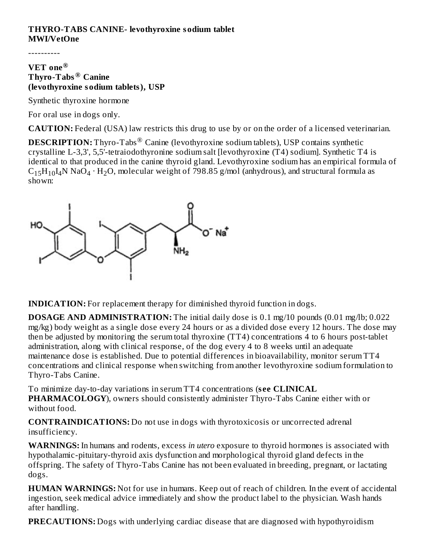### **THYRO-TABS CANINE- levothyroxine sodium tablet MWI/VetOne**

----------

#### **VET one ® Thyro-Tabs Canine ® (levothyroxine sodium tablets), USP**

Synthetic thyroxine hormone

For oral use in dogs only.

**CAUTION:** Federal (USA) law restricts this drug to use by or on the order of a licensed veterinarian.

**DESCRIPTION:** Thyro-Tabs<sup>®</sup> Canine (levothyroxine sodium tablets), USP contains synthetic crystalline L-3,3', 5,5'-tetraiodothyronine sodium salt [levothyroxine (T4) sodium]. Synthetic T4 is identical to that produced in the canine thyroid gland. Levothyroxine sodium has an empirical formula of  $C_{15}H_{10}I_4N$  NaO $_4 \cdot H_2O$ , molecular weight of 798.85 g/mol (anhydrous), and structural formula as shown:



**INDICATION:** For replacement therapy for diminished thyroid function in dogs.

**DOSAGE AND ADMINISTRATION:** The initial daily dose is 0.1 mg/10 pounds (0.01 mg/lb; 0.022 mg/kg) body weight as a single dose every 24 hours or as a divided dose every 12 hours. The dose may then be adjusted by monitoring the serum total thyroxine (TT4) concentrations 4 to 6 hours post-tablet administration, along with clinical response, of the dog every 4 to 8 weeks until an adequate maintenance dose is established. Due to potential differences in bioavailability, monitor serum TT4 concentrations and clinical response when switching from another levothyroxine sodium formulation to Thyro-Tabs Canine.

To minimize day-to-day variations in serum TT4 concentrations (**s ee CLINICAL PHARMACOLOGY**), owners should consistently administer Thyro-Tabs Canine either with or without food.

**CONTRAINDICATIONS:** Do not use in dogs with thyrotoxicosis or uncorrected adrenal insufficiency.

**WARNINGS:** In humans and rodents, excess *in utero* exposure to thyroid hormones is associated with hypothalamic-pituitary-thyroid axis dysfunction and morphological thyroid gland defects in the offspring. The safety of Thyro-Tabs Canine has not been evaluated in breeding, pregnant, or lactating dogs.

**HUMAN WARNINGS:** Not for use in humans. Keep out of reach of children. In the event of accidental ingestion, seek medical advice immediately and show the product label to the physician. Wash hands after handling.

**PRECAUTIONS:** Dogs with underlying cardiac disease that are diagnosed with hypothyroidism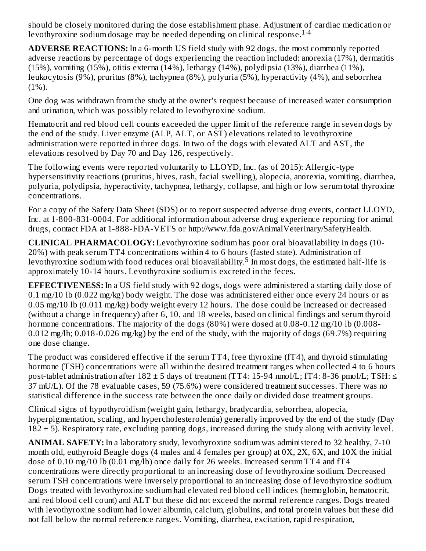should be closely monitored during the dose establishment phase. Adjustment of cardiac medication or levothyroxine sodium dosage may be needed depending on clinical response. 1-4

**ADVERSE REACTIONS:** In a 6-month US field study with 92 dogs, the most commonly reported adverse reactions by percentage of dogs experiencing the reaction included: anorexia (17%), dermatitis (15%), vomiting (15%), otitis externa (14%), lethargy (14%), polydipsia (13%), diarrhea (11%), leukocytosis (9%), pruritus (8%), tachypnea (8%), polyuria (5%), hyperactivity (4%), and seborrhea  $(1\%)$ .

One dog was withdrawn from the study at the owner's request because of increased water consumption and urination, which was possibly related to levothyroxine sodium.

Hematocrit and red blood cell counts exceeded the upper limit of the reference range in seven dogs by the end of the study. Liver enzyme (ALP, ALT, or AST) elevations related to levothyroxine administration were reported in three dogs. In two of the dogs with elevated ALT and AST, the elevations resolved by Day 70 and Day 126, respectively.

The following events were reported voluntarily to LLOYD, Inc. (as of 2015): Allergic-type hypersensitivity reactions (pruritus, hives, rash, facial swelling), alopecia, anorexia, vomiting, diarrhea, polyuria, polydipsia, hyperactivity, tachypnea, lethargy, collapse, and high or low serum total thyroxine concentrations.

For a copy of the Safety Data Sheet (SDS) or to report suspected adverse drug events, contact LLOYD, Inc. at 1-800-831-0004. For additional information about adverse drug experience reporting for animal drugs, contact FDA at 1-888-FDA-VETS or http://www.fda.gov/AnimalVeterinary/SafetyHealth.

**CLINICAL PHARMACOLOGY:** Levothyroxine sodium has poor oral bioavailability in dogs (10- 20%) with peak serum TT4 concentrations within 4 to 6 hours (fasted state). Administration of levothyroxine sodium with food reduces oral bioavailability.<sup>5</sup> In most dogs, the estimated half-life is approximately 10-14 hours. Levothyroxine sodium is excreted in the feces.

**EFFECTIVENESS:** In a US field study with 92 dogs, dogs were administered a starting daily dose of 0.1 mg/10 lb (0.022 mg/kg) body weight. The dose was administered either once every  $\overline{2}4$  hours or as 0.05 mg/10 lb (0.011 mg/kg) body weight every 12 hours. The dose could be increased or decreased (without a change in frequency) after 6, 10, and 18 weeks, based on clinical findings and serum thyroid hormone concentrations. The majority of the dogs (80%) were dosed at 0.08-0.12 mg/10 lb (0.008-0.012 mg/lb; 0.018-0.026 mg/kg) by the end of the study, with the majority of dogs (69.7%) requiring one dose change.

The product was considered effective if the serum TT4, free thyroxine (fT4), and thyroid stimulating hormone (TSH) concentrations were all within the desired treatment ranges when collected 4 to 6 hours post-tablet administration after  $182 \pm 5$  days of treatment (TT4: 15-94 nmol/L; fT4: 8-36 pmol/L; TSH:  $\le$ 37 mU/L). Of the 78 evaluable cases, 59 (75.6%) were considered treatment successes. There was no statistical difference in the success rate between the once daily or divided dose treatment groups.

Clinical signs of hypothyroidism (weight gain, lethargy, bradycardia, seborrhea, alopecia, hyperpigmentation, scaling, and hypercholesterolemia) generally improved by the end of the study (Day  $182 \pm 5$ ). Respiratory rate, excluding panting dogs, increased during the study along with activity level.

**ANIMAL SAFETY:** In a laboratory study, levothyroxine sodium was administered to 32 healthy, 7-10 month old, euthyroid Beagle dogs (4 males and 4 females per group) at 0X, 2X, 6X, and 10X the initial dose of 0.10 mg/10 lb (0.01 mg/lb) once daily for 26 weeks. Increased serum TT4 and fT4 concentrations were directly proportional to an increasing dose of levothyroxine sodium. Decreased serum TSH concentrations were inversely proportional to an increasing dose of levothyroxine sodium. Dogs treated with levothyroxine sodium had elevated red blood cell indices (hemoglobin, hematocrit, and red blood cell count) and ALT but these did not exceed the normal reference ranges. Dogs treated with levothyroxine sodium had lower albumin, calcium, globulins, and total protein values but these did not fall below the normal reference ranges. Vomiting, diarrhea, excitation, rapid respiration,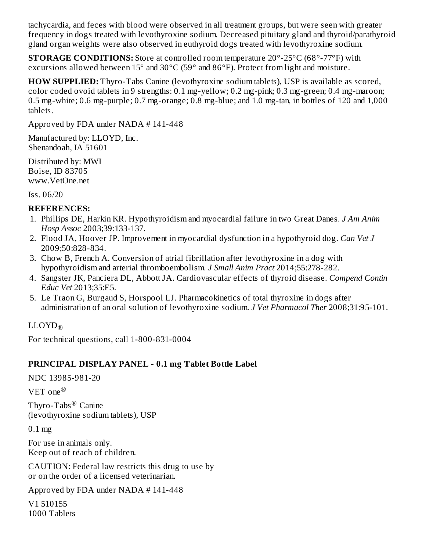tachycardia, and feces with blood were observed in all treatment groups, but were seen with greater frequency in dogs treated with levothyroxine sodium. Decreased pituitary gland and thyroid/parathyroid gland organ weights were also observed in euthyroid dogs treated with levothyroxine sodium.

**STORAGE CONDITIONS:** Store at controlled room temperature 20°-25°C (68°-77°F) with excursions allowed between  $15^{\circ}$  and  $30^{\circ}$ C (59° and  $86^{\circ}$ F). Protect from light and moisture.

**HOW SUPPLIED:** Thyro-Tabs Canine (levothyroxine sodium tablets), USP is available as scored, color coded ovoid tablets in 9 strengths: 0.1 mg-yellow; 0.2 mg-pink; 0.3 mg-green; 0.4 mg-maroon; 0.5 mg-white; 0.6 mg-purple; 0.7 mg-orange; 0.8 mg-blue; and 1.0 mg-tan, in bottles of 120 and 1,000 tablets.

Approved by FDA under NADA # 141-448

Manufactured by: LLOYD, Inc. Shenandoah, IA 51601

Distributed by: MWI Boise, ID 83705 www.VetOne.net

Iss. 06/20

#### **REFERENCES:**

- 1. Phillips DE, Harkin KR. Hypothyroidism and myocardial failure in two Great Danes. *J Am Anim Hosp Assoc* 2003;39:133-137.
- 2. Flood JA, Hoover JP. Improvement in myocardial dysfunction in a hypothyroid dog. *Can Vet J* 2009;50:828-834.
- 3. Chow B, French A. Conversion of atrial fibrillation after levothyroxine in a dog with hypothyroidism and arterial thromboembolism. *J Small Anim Pract* 2014;55:278-282.
- 4. Sangster JK, Panciera DL, Abbott JA. Cardiovascular effects of thyroid disease. *Compend Contin Educ Vet* 2013;35:E5.
- 5. Le Traon G, Burgaud S, Horspool LJ. Pharmacokinetics of total thyroxine in dogs after administration of an oral solution of levothyroxine sodium. *J Vet Pharmacol Ther* 2008;31:95-101.

## $\mathrm{LLOYD}_\circledR$

For technical questions, call 1-800-831-0004

### **PRINCIPAL DISPLAY PANEL - 0.1 mg Tablet Bottle Label**

NDC 13985-981-20

VET one ®

Thyro-Tabs $^{\circledR}$  Canine (levothyroxine sodium tablets), USP

0.1 mg

For use in animals only. Keep out of reach of children.

CAUTION: Federal law restricts this drug to use by or on the order of a licensed veterinarian.

Approved by FDA under NADA # 141-448

V1 510155 1000 Tablets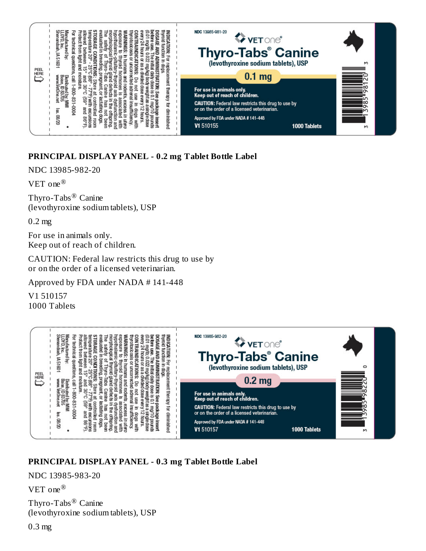

### **PRINCIPAL DISPLAY PANEL - 0.2 mg Tablet Bottle Label**

NDC 13985-982-20

VET one ®

Thyro-Tabs $^{\circledR}$  Canine (levothyroxine sodium tablets), USP

0.2 mg

For use in animals only. Keep out of reach of children.

CAUTION: Federal law restricts this drug to use by or on the order of a licensed veterinarian.

Approved by FDA under NADA # 141-448

V1 510157 1000 Tablets



### **PRINCIPAL DISPLAY PANEL - 0.3 mg Tablet Bottle Label**

NDC 13985-983-20

VET one ®

Thyro-Tabs $^{\circledR}$  Canine (levothyroxine sodium tablets), USP

0.3 mg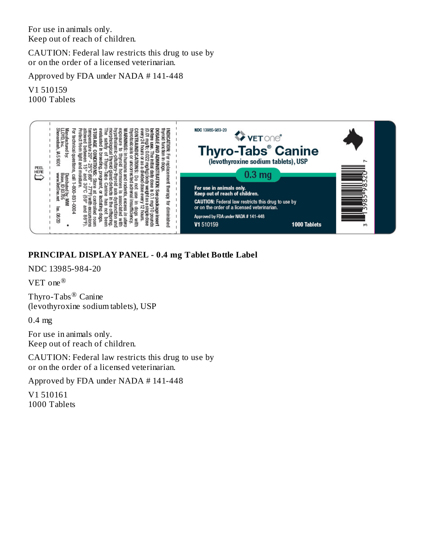For use in animals only. Keep out of reach of children.

CAUTION: Federal law restricts this drug to use by or on the order of a licensed veterinarian.

Approved by FDA under NADA # 141-448

V1 510159 1000 Tablets



## **PRINCIPAL DISPLAY PANEL - 0.4 mg Tablet Bottle Label**

NDC 13985-984-20

VET one ®

Thyro-Tabs $^{\circledR}$  Canine (levothyroxine sodium tablets), USP

0.4 mg

For use in animals only. Keep out of reach of children.

CAUTION: Federal law restricts this drug to use by or on the order of a licensed veterinarian.

Approved by FDA under NADA # 141-448

V1 510161 1000 Tablets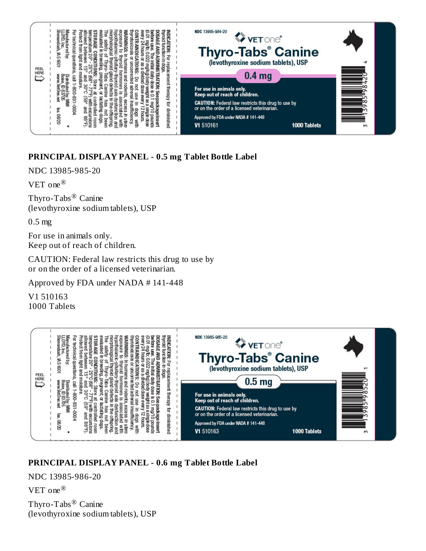

### **PRINCIPAL DISPLAY PANEL - 0.5 mg Tablet Bottle Label**

NDC 13985-985-20

VET one ®

Thyro-Tabs $^{\circledR}$  Canine (levothyroxine sodium tablets), USP

0.5 mg

For use in animals only. Keep out of reach of children.

CAUTION: Federal law restricts this drug to use by or on the order of a licensed veterinarian.

Approved by FDA under NADA # 141-448

V1 510163 1000 Tablets



## **PRINCIPAL DISPLAY PANEL - 0.6 mg Tablet Bottle Label**

NDC 13985-986-20

VET one ®

Thyro-Tabs $^{\circledR}$  Canine (levothyroxine sodium tablets), USP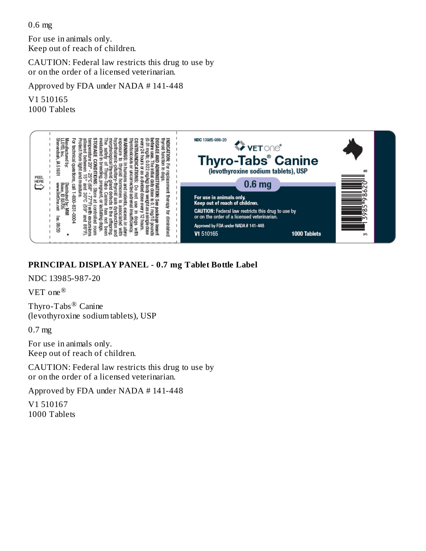0.6 mg

For use in animals only. Keep out of reach of children.

CAUTION: Federal law restricts this drug to use by or on the order of a licensed veterinarian.

Approved by FDA under NADA # 141-448

V1 510165 1000 Tablets



### **PRINCIPAL DISPLAY PANEL - 0.7 mg Tablet Bottle Label**

NDC 13985-987-20

VET one ®

Thyro-Tabs $^{\circledR}$  Canine (levothyroxine sodium tablets), USP

0.7 mg

For use in animals only. Keep out of reach of children.

CAUTION: Federal law restricts this drug to use by or on the order of a licensed veterinarian.

Approved by FDA under NADA # 141-448

V1 510167 1000 Tablets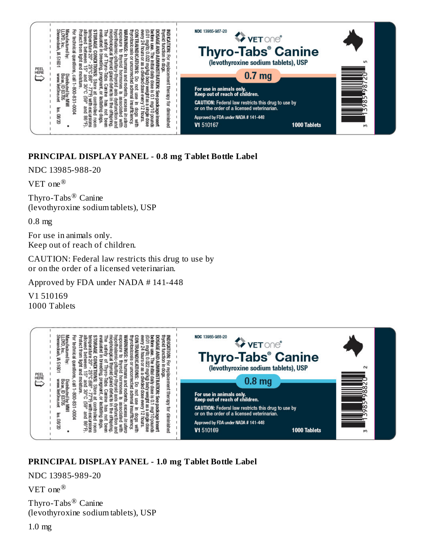

### **PRINCIPAL DISPLAY PANEL - 0.8 mg Tablet Bottle Label**

NDC 13985-988-20

VET one ®

Thyro-Tabs $^{\circledR}$  Canine (levothyroxine sodium tablets), USP

0.8 mg

For use in animals only. Keep out of reach of children.

CAUTION: Federal law restricts this drug to use by or on the order of a licensed veterinarian.

Approved by FDA under NADA # 141-448

V1 510169 1000 Tablets



## **PRINCIPAL DISPLAY PANEL - 1.0 mg Tablet Bottle Label**

NDC 13985-989-20

VET one ®

Thyro-Tabs $^{\circledR}$  Canine (levothyroxine sodium tablets), USP

1.0 mg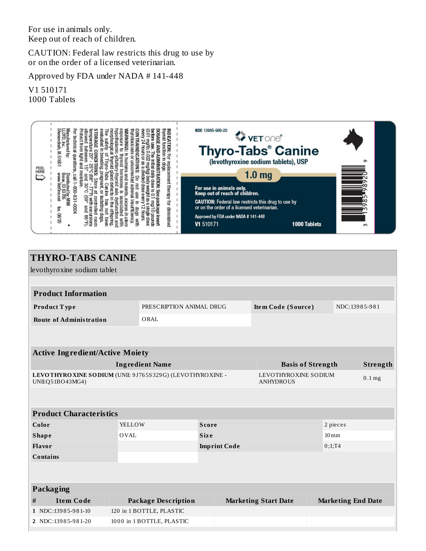For use in animals only. Keep out of reach of children.

CAUTION: Federal law restricts this drug to use by or on the order of a licensed veterinarian.

Approved by FDA under NADA # 141-448

V1 510171 1000 Tablets



|                                                                                | <b>THYRO-TABS CANINE</b>               |        |                            |                     |                                          |                           |                    |          |
|--------------------------------------------------------------------------------|----------------------------------------|--------|----------------------------|---------------------|------------------------------------------|---------------------------|--------------------|----------|
|                                                                                | levothyroxine sodium tablet            |        |                            |                     |                                          |                           |                    |          |
|                                                                                |                                        |        |                            |                     |                                          |                           |                    |          |
|                                                                                | <b>Product Information</b>             |        |                            |                     |                                          |                           |                    |          |
|                                                                                | Product Type                           |        | PRESCRIPTION ANIMAL DRUG   |                     | Item Code (Source)                       |                           | NDC:13985-981      |          |
|                                                                                | <b>Route of Administration</b>         |        | ORAL                       |                     |                                          |                           |                    |          |
|                                                                                |                                        |        |                            |                     |                                          |                           |                    |          |
|                                                                                |                                        |        |                            |                     |                                          |                           |                    |          |
|                                                                                | <b>Active Ingredient/Active Moiety</b> |        |                            |                     |                                          |                           |                    |          |
|                                                                                |                                        |        | <b>Ingredient Name</b>     |                     | <b>Basis of Strength</b>                 |                           |                    | Strength |
| LEVOTHYRO XINE SODIUM (UNII: 9J765S329G) (LEVOTHYRO XINE -<br>UNII:Q51BO43MG4) |                                        |        |                            |                     | LEVOTHYROXINE SODIUM<br><b>ANHYDROUS</b> |                           |                    | $0.1$ mg |
|                                                                                |                                        |        |                            |                     |                                          |                           |                    |          |
|                                                                                | <b>Product Characteristics</b>         |        |                            |                     |                                          |                           |                    |          |
|                                                                                | Color                                  | YELLOW | <b>Score</b>               |                     |                                          | 2 pieces                  |                    |          |
|                                                                                | <b>Shape</b>                           | OVAL   |                            | <b>Size</b>         |                                          |                           | $10 \,\mathrm{mm}$ |          |
|                                                                                | <b>Flavor</b>                          |        |                            | <b>Imprint Code</b> |                                          | 0;1;T4                    |                    |          |
|                                                                                | <b>Contains</b>                        |        |                            |                     |                                          |                           |                    |          |
|                                                                                |                                        |        |                            |                     |                                          |                           |                    |          |
|                                                                                | <b>Packaging</b>                       |        |                            |                     |                                          |                           |                    |          |
| $\#$                                                                           | <b>Item Code</b>                       |        | <b>Package Description</b> |                     | <b>Marketing Start Date</b>              | <b>Marketing End Date</b> |                    |          |
|                                                                                | 1 NDC:13985-981-10                     |        | 120 in 1 BOTTLE, PLASTIC   |                     |                                          |                           |                    |          |
|                                                                                | 2 NDC:13985-981-20                     |        | 1000 in 1 BOTTLE, PLASTIC  |                     |                                          |                           |                    |          |
|                                                                                |                                        |        |                            |                     |                                          |                           |                    |          |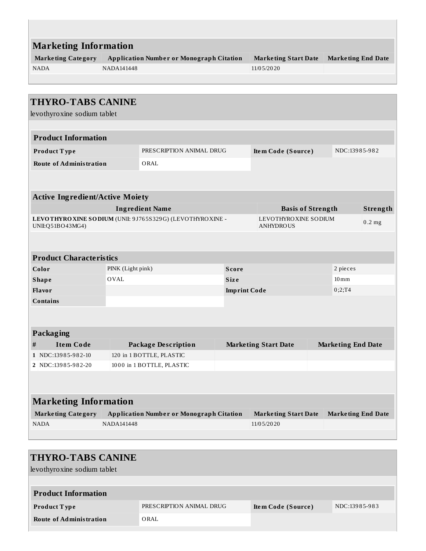|                           | <b>Marketing Information</b>                    |                             |                           |  |  |  |  |  |  |  |
|---------------------------|-------------------------------------------------|-----------------------------|---------------------------|--|--|--|--|--|--|--|
| <b>Marketing Category</b> | <b>Application Number or Monograph Citation</b> | <b>Marketing Start Date</b> | <b>Marketing End Date</b> |  |  |  |  |  |  |  |
| <b>NADA</b>               | NADA141448                                      | 11/05/2020                  |                           |  |  |  |  |  |  |  |
|                           |                                                 |                             |                           |  |  |  |  |  |  |  |
|                           |                                                 |                             |                           |  |  |  |  |  |  |  |

 $\mathbb{R}^n$ 

| <b>THYRO-TABS CANINE</b>               |                   |                                                            |                     |                                          |                           |          |
|----------------------------------------|-------------------|------------------------------------------------------------|---------------------|------------------------------------------|---------------------------|----------|
| levothyroxine sodium tablet            |                   |                                                            |                     |                                          |                           |          |
|                                        |                   |                                                            |                     |                                          |                           |          |
| <b>Product Information</b>             |                   |                                                            |                     |                                          |                           |          |
| Product Type                           |                   | PRESCRIPTION ANIMAL DRUG                                   |                     | Item Code (Source)                       | NDC:13985-982             |          |
| <b>Route of Administration</b>         |                   | ORAL                                                       |                     |                                          |                           |          |
|                                        |                   |                                                            |                     |                                          |                           |          |
| <b>Active Ingredient/Active Moiety</b> |                   |                                                            |                     |                                          |                           |          |
|                                        |                   | <b>Ingredient Name</b>                                     |                     | <b>Basis of Strength</b>                 |                           | Strength |
| UNII:Q51BO43MG4)                       |                   | LEVOTHYRO XINE SODIUM (UNII: 9J765S329G) (LEVOTHYRO XINE - |                     | LEVOTHYROXINE SODIUM<br><b>ANHYDROUS</b> |                           | $0.2$ mg |
|                                        |                   |                                                            |                     |                                          |                           |          |
| <b>Product Characteristics</b>         |                   |                                                            |                     |                                          |                           |          |
| Color                                  | PINK (Light pink) |                                                            | Score               |                                          | 2 pieces                  |          |
| <b>Shape</b>                           | <b>OVAL</b>       |                                                            | <b>Size</b>         |                                          | $10 \,\mathrm{mm}$        |          |
| Flavor<br><b>Contains</b>              |                   |                                                            | <b>Imprint Code</b> |                                          | 0;2;T4                    |          |
|                                        |                   |                                                            |                     |                                          |                           |          |
|                                        |                   |                                                            |                     |                                          |                           |          |
| Packaging<br><b>Item Code</b><br>$\#$  |                   |                                                            |                     |                                          |                           |          |
| 1 NDC:13985-982-10                     |                   | <b>Package Description</b><br>120 in 1 BOTTLE, PLASTIC     |                     | <b>Marketing Start Date</b>              | <b>Marketing End Date</b> |          |
| 2 NDC:13985-982-20                     |                   | 1000 in 1 BOTTLE, PLASTIC                                  |                     |                                          |                           |          |
|                                        |                   |                                                            |                     |                                          |                           |          |
|                                        |                   |                                                            |                     |                                          |                           |          |
| <b>Marketing Information</b>           |                   |                                                            |                     |                                          |                           |          |
| <b>Marketing Category</b>              |                   | <b>Application Number or Monograph Citation</b>            |                     | <b>Marketing Start Date</b>              | <b>Marketing End Date</b> |          |
| <b>NADA</b>                            | <b>NADA141448</b> |                                                            |                     | 11/05/2020                               |                           |          |
|                                        |                   |                                                            |                     |                                          |                           |          |

| <b>THYRO-TABS CANINE</b><br>levothyroxine sodium tablet |                          |                    |               |  |  |  |  |  |
|---------------------------------------------------------|--------------------------|--------------------|---------------|--|--|--|--|--|
| <b>Product Information</b>                              |                          |                    |               |  |  |  |  |  |
| <b>Product Type</b>                                     | PRESCRIPTION ANIMAL DRUG | Item Code (Source) | NDC:13985-983 |  |  |  |  |  |
| <b>Route of Administration</b>                          | ORAL                     |                    |               |  |  |  |  |  |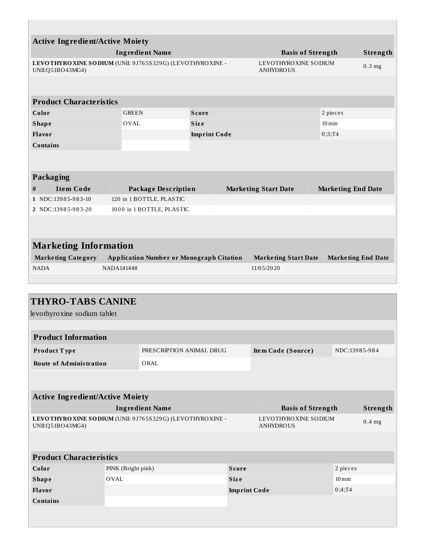| <b>Active Ingredient/Active Moiety</b><br><b>Ingredient Name</b><br><b>Basis of Strength</b><br>LEVOTHYRO XINE SODIUM (UNII: 9J765S329G) (LEVOTHYRO XINE -<br>LEVOTHYROXINE SODIUM<br>$0.3$ mg<br>UNII:Q51BO43MG4)<br><b>ANHYDROUS</b><br><b>Product Characteristics</b><br><b>GREEN</b><br>Color<br>2 pieces<br><b>Score</b><br><b>OVAL</b><br><b>Shape</b><br><b>Size</b><br>$10 \,\mathrm{mm}$<br>Flavor<br>0;3;T4<br><b>Imprint Code</b><br><b>Contains</b><br>Packaging<br>$\#$<br><b>Item Code</b><br><b>Package Description</b><br><b>Marketing Start Date</b><br><b>Marketing End Date</b><br>120 in 1 BOTTLE, PLASTIC<br>1 NDC:13985-983-10<br>1000 in 1 BOTTLE, PLASTIC<br>2 NDC:13985-983-20<br><b>Marketing Information</b><br><b>Marketing Category</b><br><b>Application Number or Monograph Citation</b><br><b>Marketing Start Date</b><br><b>Marketing End Date</b><br>NADA141448<br><b>NADA</b><br>11/05/2020 |  |  |  |  |  |  |          |
|--------------------------------------------------------------------------------------------------------------------------------------------------------------------------------------------------------------------------------------------------------------------------------------------------------------------------------------------------------------------------------------------------------------------------------------------------------------------------------------------------------------------------------------------------------------------------------------------------------------------------------------------------------------------------------------------------------------------------------------------------------------------------------------------------------------------------------------------------------------------------------------------------------------------------------|--|--|--|--|--|--|----------|
|                                                                                                                                                                                                                                                                                                                                                                                                                                                                                                                                                                                                                                                                                                                                                                                                                                                                                                                                |  |  |  |  |  |  |          |
|                                                                                                                                                                                                                                                                                                                                                                                                                                                                                                                                                                                                                                                                                                                                                                                                                                                                                                                                |  |  |  |  |  |  | Strength |
|                                                                                                                                                                                                                                                                                                                                                                                                                                                                                                                                                                                                                                                                                                                                                                                                                                                                                                                                |  |  |  |  |  |  |          |
|                                                                                                                                                                                                                                                                                                                                                                                                                                                                                                                                                                                                                                                                                                                                                                                                                                                                                                                                |  |  |  |  |  |  |          |
|                                                                                                                                                                                                                                                                                                                                                                                                                                                                                                                                                                                                                                                                                                                                                                                                                                                                                                                                |  |  |  |  |  |  |          |
|                                                                                                                                                                                                                                                                                                                                                                                                                                                                                                                                                                                                                                                                                                                                                                                                                                                                                                                                |  |  |  |  |  |  |          |
|                                                                                                                                                                                                                                                                                                                                                                                                                                                                                                                                                                                                                                                                                                                                                                                                                                                                                                                                |  |  |  |  |  |  |          |
|                                                                                                                                                                                                                                                                                                                                                                                                                                                                                                                                                                                                                                                                                                                                                                                                                                                                                                                                |  |  |  |  |  |  |          |
|                                                                                                                                                                                                                                                                                                                                                                                                                                                                                                                                                                                                                                                                                                                                                                                                                                                                                                                                |  |  |  |  |  |  |          |
|                                                                                                                                                                                                                                                                                                                                                                                                                                                                                                                                                                                                                                                                                                                                                                                                                                                                                                                                |  |  |  |  |  |  |          |
|                                                                                                                                                                                                                                                                                                                                                                                                                                                                                                                                                                                                                                                                                                                                                                                                                                                                                                                                |  |  |  |  |  |  |          |
|                                                                                                                                                                                                                                                                                                                                                                                                                                                                                                                                                                                                                                                                                                                                                                                                                                                                                                                                |  |  |  |  |  |  |          |
|                                                                                                                                                                                                                                                                                                                                                                                                                                                                                                                                                                                                                                                                                                                                                                                                                                                                                                                                |  |  |  |  |  |  |          |
|                                                                                                                                                                                                                                                                                                                                                                                                                                                                                                                                                                                                                                                                                                                                                                                                                                                                                                                                |  |  |  |  |  |  |          |
|                                                                                                                                                                                                                                                                                                                                                                                                                                                                                                                                                                                                                                                                                                                                                                                                                                                                                                                                |  |  |  |  |  |  |          |
|                                                                                                                                                                                                                                                                                                                                                                                                                                                                                                                                                                                                                                                                                                                                                                                                                                                                                                                                |  |  |  |  |  |  |          |
|                                                                                                                                                                                                                                                                                                                                                                                                                                                                                                                                                                                                                                                                                                                                                                                                                                                                                                                                |  |  |  |  |  |  |          |
|                                                                                                                                                                                                                                                                                                                                                                                                                                                                                                                                                                                                                                                                                                                                                                                                                                                                                                                                |  |  |  |  |  |  |          |
|                                                                                                                                                                                                                                                                                                                                                                                                                                                                                                                                                                                                                                                                                                                                                                                                                                                                                                                                |  |  |  |  |  |  |          |
|                                                                                                                                                                                                                                                                                                                                                                                                                                                                                                                                                                                                                                                                                                                                                                                                                                                                                                                                |  |  |  |  |  |  |          |
|                                                                                                                                                                                                                                                                                                                                                                                                                                                                                                                                                                                                                                                                                                                                                                                                                                                                                                                                |  |  |  |  |  |  |          |

| <b>THYRO-TABS CANINE</b><br>levothyroxine sodium tablet |                    |                                                            |                     |                                          |                    |          |
|---------------------------------------------------------|--------------------|------------------------------------------------------------|---------------------|------------------------------------------|--------------------|----------|
|                                                         |                    |                                                            |                     |                                          |                    |          |
| <b>Product Information</b>                              |                    |                                                            |                     |                                          |                    |          |
| Product Type                                            |                    | PRESCRIPTION ANIMAL DRUG                                   |                     | Item Code (Source)                       | NDC:13985-984      |          |
| <b>Route of Administration</b>                          |                    | ORAL                                                       |                     |                                          |                    |          |
|                                                         |                    |                                                            |                     |                                          |                    |          |
|                                                         |                    |                                                            |                     |                                          |                    |          |
| <b>Active Ingredient/Active Moiety</b>                  |                    |                                                            |                     |                                          |                    |          |
|                                                         |                    | <b>Ingredient Name</b>                                     |                     | <b>Basis of Strength</b>                 |                    | Strength |
| UNII:Q51BO43MG4)                                        |                    | LEVOTHYRO XINE SODIUM (UNII: 9J765S329G) (LEVOTHYRO XINE - |                     | LEVOTHYROXINE SODIUM<br><b>ANHYDROUS</b> |                    | $0.4$ mg |
|                                                         |                    |                                                            |                     |                                          |                    |          |
| <b>Product Characteristics</b>                          |                    |                                                            |                     |                                          |                    |          |
| Color                                                   | PINK (Bright pink) |                                                            | <b>Score</b>        |                                          | 2 pieces           |          |
| <b>Shape</b>                                            | <b>OVAL</b>        |                                                            | <b>Size</b>         |                                          | $10 \,\mathrm{mm}$ |          |
| Flavor                                                  |                    |                                                            | <b>Imprint Code</b> |                                          | 0;4;T4             |          |
| <b>Contains</b>                                         |                    |                                                            |                     |                                          |                    |          |
|                                                         |                    |                                                            |                     |                                          |                    |          |
|                                                         |                    |                                                            |                     |                                          |                    |          |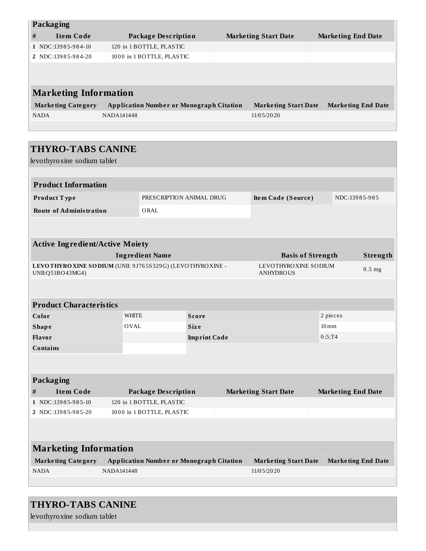|   | <b>Packaging</b>             |                                                 |  |                             |                           |  |  |  |  |  |
|---|------------------------------|-------------------------------------------------|--|-----------------------------|---------------------------|--|--|--|--|--|
| # | <b>Item Code</b>             | Package Description                             |  | <b>Marketing Start Date</b> | <b>Marketing End Date</b> |  |  |  |  |  |
|   | 1 NDC:13985-984-10           | 120 in 1 BOTTLE, PLASTIC                        |  |                             |                           |  |  |  |  |  |
|   | 2 NDC:13985-984-20           | 1000 in 1 BOTTLE, PLASTIC                       |  |                             |                           |  |  |  |  |  |
|   |                              |                                                 |  |                             |                           |  |  |  |  |  |
|   |                              |                                                 |  |                             |                           |  |  |  |  |  |
|   | <b>Marketing Information</b> |                                                 |  |                             |                           |  |  |  |  |  |
|   | <b>Marketing Category</b>    | <b>Application Number or Monograph Citation</b> |  | <b>Marketing Start Date</b> | <b>Marketing End Date</b> |  |  |  |  |  |
|   | <b>NADA</b>                  | NADA141448                                      |  | 11/05/2020                  |                           |  |  |  |  |  |
|   |                              |                                                 |  |                             |                           |  |  |  |  |  |

| <b>THYRO-TABS CANINE</b>                                                       |                   |                                                 |                     |  |                                          |                           |          |
|--------------------------------------------------------------------------------|-------------------|-------------------------------------------------|---------------------|--|------------------------------------------|---------------------------|----------|
| levothyroxine sodium tablet                                                    |                   |                                                 |                     |  |                                          |                           |          |
|                                                                                |                   |                                                 |                     |  |                                          |                           |          |
| <b>Product Information</b>                                                     |                   |                                                 |                     |  |                                          |                           |          |
| Product Type                                                                   |                   | PRESCRIPTION ANIMAL DRUG                        |                     |  | Item Code (Source)                       | NDC:13985-985             |          |
| <b>Route of Administration</b>                                                 |                   | ORAL                                            |                     |  |                                          |                           |          |
|                                                                                |                   |                                                 |                     |  |                                          |                           |          |
|                                                                                |                   |                                                 |                     |  |                                          |                           |          |
| <b>Active Ingredient/Active Moiety</b>                                         |                   |                                                 |                     |  |                                          |                           |          |
|                                                                                |                   | <b>Ingredient Name</b>                          |                     |  | <b>Basis of Strength</b>                 |                           | Strength |
| LEVOTHYRO XINE SODIUM (UNII: 9J765S329G) (LEVOTHYRO XINE -<br>UNII:Q51BO43MG4) |                   |                                                 |                     |  | LEVOTHYROXINE SODIUM<br><b>ANHYDROUS</b> |                           | $0.5$ mg |
|                                                                                |                   |                                                 |                     |  |                                          |                           |          |
|                                                                                |                   |                                                 |                     |  |                                          |                           |          |
| <b>Product Characteristics</b>                                                 |                   |                                                 |                     |  |                                          |                           |          |
| Color                                                                          | <b>WHITE</b>      |                                                 | <b>Score</b>        |  |                                          | 2 pieces                  |          |
| <b>Shape</b>                                                                   | <b>OVAL</b>       |                                                 | <b>Size</b>         |  |                                          | $10 \,\mathrm{mm}$        |          |
| <b>Flavor</b>                                                                  |                   |                                                 | <b>Imprint Code</b> |  |                                          | 0;5;T4                    |          |
| <b>Contains</b>                                                                |                   |                                                 |                     |  |                                          |                           |          |
|                                                                                |                   |                                                 |                     |  |                                          |                           |          |
| Packaging                                                                      |                   |                                                 |                     |  |                                          |                           |          |
| #<br><b>Item Code</b>                                                          |                   | <b>Package Description</b>                      |                     |  | <b>Marketing Start Date</b>              | <b>Marketing End Date</b> |          |
| 1 NDC:13985-985-10                                                             |                   | 120 in 1 BOTTLE, PLASTIC                        |                     |  |                                          |                           |          |
| 2 NDC:13985-985-20<br>1000 in 1 BOTTLE, PLASTIC                                |                   |                                                 |                     |  |                                          |                           |          |
|                                                                                |                   |                                                 |                     |  |                                          |                           |          |
|                                                                                |                   |                                                 |                     |  |                                          |                           |          |
| <b>Marketing Information</b>                                                   |                   |                                                 |                     |  |                                          |                           |          |
| <b>Marketing Category</b>                                                      |                   | <b>Application Number or Monograph Citation</b> |                     |  | <b>Marketing Start Date</b>              | <b>Marketing End Date</b> |          |
| <b>NADA</b>                                                                    | <b>NADA141448</b> |                                                 |                     |  | 11/05/2020                               |                           |          |
|                                                                                |                   |                                                 |                     |  |                                          |                           |          |

## **THYRO-TABS CANINE**

levothyroxine sodium tablet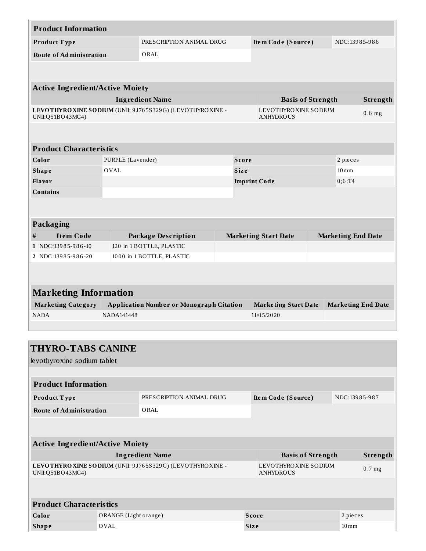| <b>Product Information</b>             |                   |                                                            |             |                                          |                           |          |
|----------------------------------------|-------------------|------------------------------------------------------------|-------------|------------------------------------------|---------------------------|----------|
| Product Type                           |                   | PRESCRIPTION ANIMAL DRUG                                   |             | Item Code (Source)                       | NDC:13985-986             |          |
| <b>Route of Administration</b>         |                   | ORAL                                                       |             |                                          |                           |          |
|                                        |                   |                                                            |             |                                          |                           |          |
|                                        |                   |                                                            |             |                                          |                           |          |
| <b>Active Ingredient/Active Moiety</b> |                   |                                                            |             |                                          |                           |          |
|                                        |                   | <b>Ingredient Name</b>                                     |             | <b>Basis of Strength</b>                 |                           | Strength |
| UNII:Q51BO43MG4)                       |                   | LEVOTHYRO XINE SODIUM (UNII: 9J765S329G) (LEVOTHYRO XINE - |             | LEVOTHYROXINE SODIUM<br><b>ANHYDROUS</b> |                           | $0.6$ mg |
|                                        |                   |                                                            |             |                                          |                           |          |
| <b>Product Characteristics</b>         |                   |                                                            |             |                                          |                           |          |
| Color                                  | PURPLE (Lavender) |                                                            | Score       |                                          | 2 pieces                  |          |
| <b>Shape</b>                           | <b>OVAL</b>       |                                                            | <b>Size</b> |                                          | $10 \,\mathrm{mm}$        |          |
| Flavor                                 |                   |                                                            |             | <b>Imprint Code</b>                      | 0;6;T4                    |          |
| <b>Contains</b>                        |                   |                                                            |             |                                          |                           |          |
|                                        |                   |                                                            |             |                                          |                           |          |
|                                        |                   |                                                            |             |                                          |                           |          |
| Packaging                              |                   |                                                            |             |                                          |                           |          |
| $\#$<br><b>Item Code</b>               |                   | <b>Package Description</b>                                 |             | <b>Marketing Start Date</b>              | <b>Marketing End Date</b> |          |
| 1 NDC:13985-986-10                     |                   | 120 in 1 BOTTLE, PLASTIC                                   |             |                                          |                           |          |
| 2 NDC:13985-986-20                     |                   | 1000 in 1 BOTTLE, PLASTIC                                  |             |                                          |                           |          |
|                                        |                   |                                                            |             |                                          |                           |          |
|                                        |                   |                                                            |             |                                          |                           |          |
| <b>Marketing Information</b>           |                   |                                                            |             |                                          |                           |          |
| <b>Marketing Category</b>              |                   | <b>Application Number or Monograph Citation</b>            |             | <b>Marketing Start Date</b>              | <b>Marketing End Date</b> |          |
| <b>NADA</b>                            | <b>NADA141448</b> |                                                            |             | 11/05/2020                               |                           |          |
|                                        |                   |                                                            |             |                                          |                           |          |
|                                        |                   |                                                            |             |                                          |                           |          |
| <b>THYRO-TABS CANINE</b>               |                   |                                                            |             |                                          |                           |          |
| levothyroxine sodium tablet            |                   |                                                            |             |                                          |                           |          |
|                                        |                   |                                                            |             |                                          |                           |          |
| <b>Product Information</b>             |                   |                                                            |             |                                          |                           |          |
|                                        |                   |                                                            |             |                                          |                           |          |
| Product Type                           |                   | PRESCRIPTION ANIMAL DRUG                                   |             | Item Code (Source)                       | NDC:13985-987             |          |
| <b>Route of Administration</b>         |                   | ORAL                                                       |             |                                          |                           |          |

| <b>Active Ingredient/Active Moiety</b>                                        |                                          |          |  |  |  |  |  |  |
|-------------------------------------------------------------------------------|------------------------------------------|----------|--|--|--|--|--|--|
| <b>Ingredient Name</b>                                                        | <b>Basis of Strength</b>                 | Strength |  |  |  |  |  |  |
| LEVOTHYRO XINE SODIUM (UNII: 9J765S329G) (LEVOTHYRO XINE -<br>UNII:Q51BO43MG4 | LEVOTHYROXINE SODIUM<br><b>ANHYDROUS</b> | $0.7$ mg |  |  |  |  |  |  |
|                                                                               |                                          |          |  |  |  |  |  |  |

| <b>Product Characteristics</b> |                       |             |                    |  |  |  |  |
|--------------------------------|-----------------------|-------------|--------------------|--|--|--|--|
| Color                          | ORANGE (Light orange) | Score       | 2 pieces           |  |  |  |  |
| <b>Shape</b>                   | OVAL                  | <b>Size</b> | $10 \,\mathrm{mm}$ |  |  |  |  |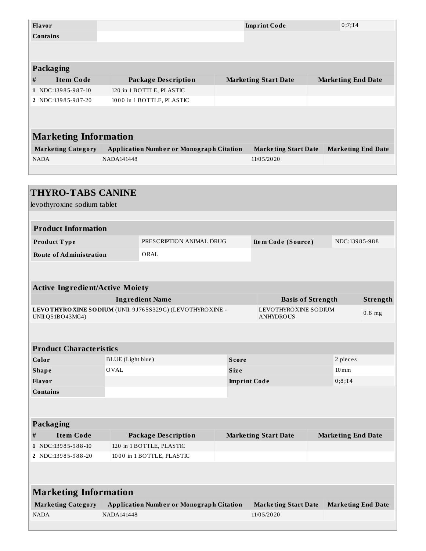| <b>Flavor</b>                          |                   |                                                           |       | <b>Imprint Code</b>                      | 0;7;T4                    |                           |
|----------------------------------------|-------------------|-----------------------------------------------------------|-------|------------------------------------------|---------------------------|---------------------------|
| <b>Contains</b>                        |                   |                                                           |       |                                          |                           |                           |
|                                        |                   |                                                           |       |                                          |                           |                           |
|                                        |                   |                                                           |       |                                          |                           |                           |
| Packaging                              |                   |                                                           |       |                                          |                           |                           |
| <b>Item Code</b><br>#                  |                   | <b>Package Description</b>                                |       | <b>Marketing Start Date</b>              | <b>Marketing End Date</b> |                           |
| 1 NDC:13985-987-10                     |                   | 120 in 1 BOTTLE, PLASTIC                                  |       |                                          |                           |                           |
| 2 NDC:13985-987-20                     |                   | 1000 in 1 BOTTLE, PLASTIC                                 |       |                                          |                           |                           |
|                                        |                   |                                                           |       |                                          |                           |                           |
|                                        |                   |                                                           |       |                                          |                           |                           |
| <b>Marketing Information</b>           |                   |                                                           |       |                                          |                           |                           |
| <b>Marketing Category</b>              |                   | <b>Application Number or Monograph Citation</b>           |       | <b>Marketing Start Date</b>              |                           | <b>Marketing End Date</b> |
| <b>NADA</b>                            | <b>NADA141448</b> |                                                           |       | 11/05/2020                               |                           |                           |
|                                        |                   |                                                           |       |                                          |                           |                           |
|                                        |                   |                                                           |       |                                          |                           |                           |
| <b>THYRO-TABS CANINE</b>               |                   |                                                           |       |                                          |                           |                           |
| levothyroxine sodium tablet            |                   |                                                           |       |                                          |                           |                           |
|                                        |                   |                                                           |       |                                          |                           |                           |
| <b>Product Information</b>             |                   |                                                           |       |                                          |                           |                           |
|                                        |                   |                                                           |       |                                          |                           |                           |
| Product Type                           |                   | PRESCRIPTION ANIMAL DRUG                                  |       | Item Code (Source)                       |                           | NDC:13985-988             |
| <b>Route of Administration</b>         |                   | ORAL                                                      |       |                                          |                           |                           |
|                                        |                   |                                                           |       |                                          |                           |                           |
|                                        |                   |                                                           |       |                                          |                           |                           |
| <b>Active Ingredient/Active Moiety</b> |                   |                                                           |       |                                          |                           |                           |
|                                        |                   | <b>Ingredient Name</b>                                    |       |                                          | <b>Basis of Strength</b>  | Strength                  |
| UNII:Q51BO43MG4)                       |                   | LEVOTHYRO XINE SODIUM (UNII: 9J765S329G) (LEVOTHYROXINE - |       | LEVOTHYROXINE SODIUM<br><b>ANHYDROUS</b> |                           | $0.8$ mg                  |
|                                        |                   |                                                           |       |                                          |                           |                           |
|                                        |                   |                                                           |       |                                          |                           |                           |
| <b>Product Characteristics</b>         |                   |                                                           |       |                                          |                           |                           |
| Color                                  | BLUE (Light blue) |                                                           | Score |                                          | 2 pieces                  |                           |
| <b>Shape</b>                           | <b>OVAL</b>       |                                                           | Size  |                                          | $10 \,\mathrm{mm}$        |                           |
| Flavor                                 |                   |                                                           |       | <b>Imprint Code</b>                      | 0;8;T4                    |                           |
| <b>Contains</b>                        |                   |                                                           |       |                                          |                           |                           |
|                                        |                   |                                                           |       |                                          |                           |                           |
|                                        |                   |                                                           |       |                                          |                           |                           |
| Packaging                              |                   |                                                           |       |                                          |                           |                           |
| <b>Item Code</b><br>#                  |                   | <b>Package Description</b>                                |       | <b>Marketing Start Date</b>              | <b>Marketing End Date</b> |                           |
| 1 NDC:13985-988-10                     |                   | 120 in 1 BOTTLE, PLASTIC                                  |       |                                          |                           |                           |
| 2 NDC:13985-988-20                     |                   | 1000 in 1 BOTTLE, PLASTIC                                 |       |                                          |                           |                           |
|                                        |                   |                                                           |       |                                          |                           |                           |
|                                        |                   |                                                           |       |                                          |                           |                           |
| <b>Marketing Information</b>           |                   |                                                           |       |                                          |                           |                           |
| <b>Marketing Category</b>              |                   | <b>Application Number or Monograph Citation</b>           |       | <b>Marketing Start Date</b>              |                           | <b>Marketing End Date</b> |
| <b>NADA</b>                            | NADA141448        |                                                           |       | 11/05/2020                               |                           |                           |